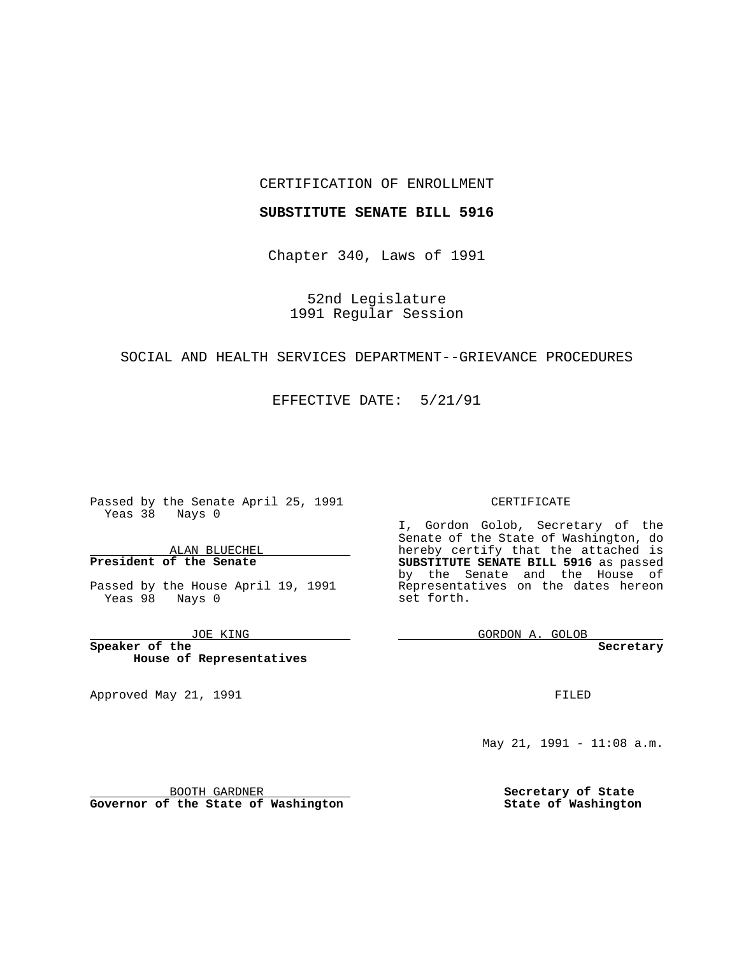#### CERTIFICATION OF ENROLLMENT

#### **SUBSTITUTE SENATE BILL 5916**

Chapter 340, Laws of 1991

52nd Legislature 1991 Regular Session

# SOCIAL AND HEALTH SERVICES DEPARTMENT--GRIEVANCE PROCEDURES

## EFFECTIVE DATE: 5/21/91

 $\frac{1}{1} \left( \frac{1}{1} \right)^{2} \left( \frac{1}{1} \right)^{2} \left( \frac{1}{1} \right)^{2} \left( \frac{1}{1} \right)^{2} \left( \frac{1}{1} \right)^{2} \left( \frac{1}{1} \right)^{2} \left( \frac{1}{1} \right)^{2} \left( \frac{1}{1} \right)^{2} \left( \frac{1}{1} \right)^{2} \left( \frac{1}{1} \right)^{2} \left( \frac{1}{1} \right)^{2} \left( \frac{1}{1} \right)^{2} \left( \frac{1}{1} \right)^{2} \left( \frac$ 

Passed by the Senate April 25, 1991 Yeas 38 Nays 0

ALAN BLUECHEL **President of the Senate**

Passed by the House April 19, 1991 Yeas 98 Nays 0

JOE KING

the control of the control of the

**Speaker of the House of Representatives**

Approved May 21, 1991

#### CERTIFICATE

I, Gordon Golob, Secretary of the Senate of the State of Washington, do hereby certify that the attached is **SUBSTITUTE SENATE BILL 5916** as passed by the Senate and the House of Representatives on the dates hereon set forth.

GORDON A. GOLOB

**Secretary**

FILED

May 21, 1991 - 11:08 a.m.

**Secretary of State State of Washington**

BOOTH GARDNER

**Governor of the State of Washington**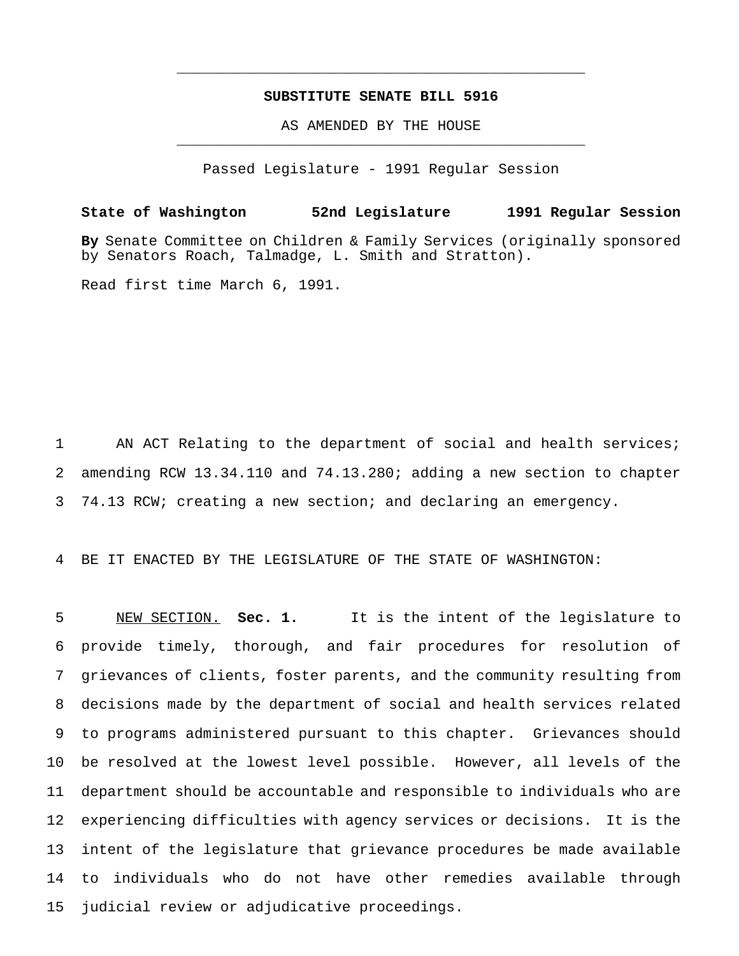## **SUBSTITUTE SENATE BILL 5916**

\_\_\_\_\_\_\_\_\_\_\_\_\_\_\_\_\_\_\_\_\_\_\_\_\_\_\_\_\_\_\_\_\_\_\_\_\_\_\_\_\_\_\_\_\_\_\_

AS AMENDED BY THE HOUSE \_\_\_\_\_\_\_\_\_\_\_\_\_\_\_\_\_\_\_\_\_\_\_\_\_\_\_\_\_\_\_\_\_\_\_\_\_\_\_\_\_\_\_\_\_\_\_

Passed Legislature - 1991 Regular Session

**State of Washington 52nd Legislature 1991 Regular Session By** Senate Committee on Children & Family Services (originally sponsored by Senators Roach, Talmadge, L. Smith and Stratton).

Read first time March 6, 1991.

1 AN ACT Relating to the department of social and health services; 2 amending RCW 13.34.110 and 74.13.280; adding a new section to chapter 3 74.13 RCW; creating a new section; and declaring an emergency.

4 BE IT ENACTED BY THE LEGISLATURE OF THE STATE OF WASHINGTON:

 NEW SECTION. **Sec. 1.** It is the intent of the legislature to provide timely, thorough, and fair procedures for resolution of grievances of clients, foster parents, and the community resulting from decisions made by the department of social and health services related to programs administered pursuant to this chapter. Grievances should be resolved at the lowest level possible. However, all levels of the department should be accountable and responsible to individuals who are experiencing difficulties with agency services or decisions. It is the intent of the legislature that grievance procedures be made available to individuals who do not have other remedies available through judicial review or adjudicative proceedings.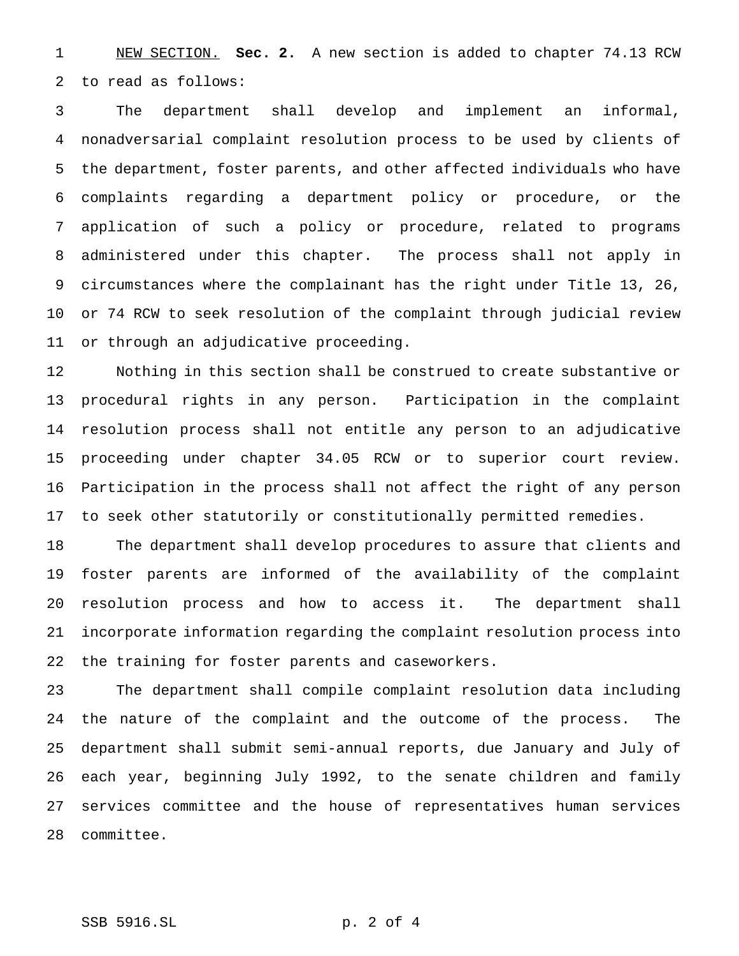NEW SECTION. **Sec. 2.** A new section is added to chapter 74.13 RCW to read as follows:

 The department shall develop and implement an informal, nonadversarial complaint resolution process to be used by clients of the department, foster parents, and other affected individuals who have complaints regarding a department policy or procedure, or the application of such a policy or procedure, related to programs administered under this chapter. The process shall not apply in circumstances where the complainant has the right under Title 13, 26, or 74 RCW to seek resolution of the complaint through judicial review or through an adjudicative proceeding.

 Nothing in this section shall be construed to create substantive or procedural rights in any person. Participation in the complaint resolution process shall not entitle any person to an adjudicative proceeding under chapter 34.05 RCW or to superior court review. Participation in the process shall not affect the right of any person to seek other statutorily or constitutionally permitted remedies.

 The department shall develop procedures to assure that clients and foster parents are informed of the availability of the complaint resolution process and how to access it. The department shall incorporate information regarding the complaint resolution process into the training for foster parents and caseworkers.

 The department shall compile complaint resolution data including the nature of the complaint and the outcome of the process. The department shall submit semi-annual reports, due January and July of each year, beginning July 1992, to the senate children and family services committee and the house of representatives human services committee.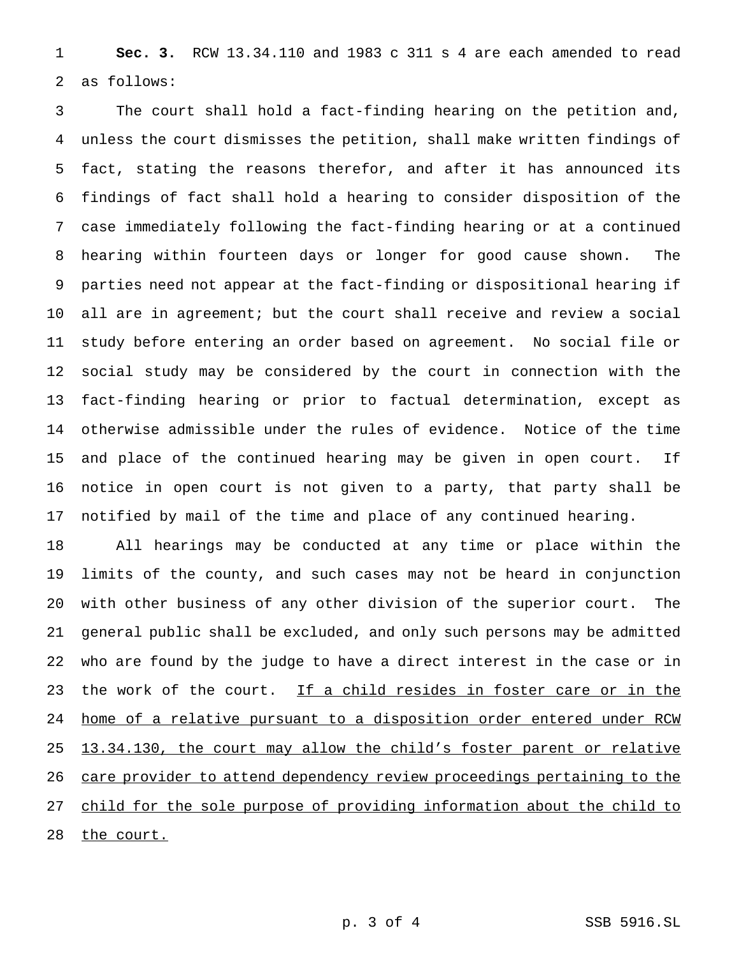**Sec. 3.** RCW 13.34.110 and 1983 c 311 s 4 are each amended to read as follows:

 The court shall hold a fact-finding hearing on the petition and, unless the court dismisses the petition, shall make written findings of fact, stating the reasons therefor, and after it has announced its findings of fact shall hold a hearing to consider disposition of the case immediately following the fact-finding hearing or at a continued hearing within fourteen days or longer for good cause shown. The parties need not appear at the fact-finding or dispositional hearing if all are in agreement; but the court shall receive and review a social study before entering an order based on agreement. No social file or social study may be considered by the court in connection with the fact-finding hearing or prior to factual determination, except as otherwise admissible under the rules of evidence. Notice of the time and place of the continued hearing may be given in open court. If notice in open court is not given to a party, that party shall be notified by mail of the time and place of any continued hearing.

 All hearings may be conducted at any time or place within the limits of the county, and such cases may not be heard in conjunction with other business of any other division of the superior court. The general public shall be excluded, and only such persons may be admitted who are found by the judge to have a direct interest in the case or in 23 the work of the court. If a child resides in foster care or in the home of a relative pursuant to a disposition order entered under RCW 25 13.34.130, the court may allow the child's foster parent or relative 26 care provider to attend dependency review proceedings pertaining to the child for the sole purpose of providing information about the child to 28 the court.